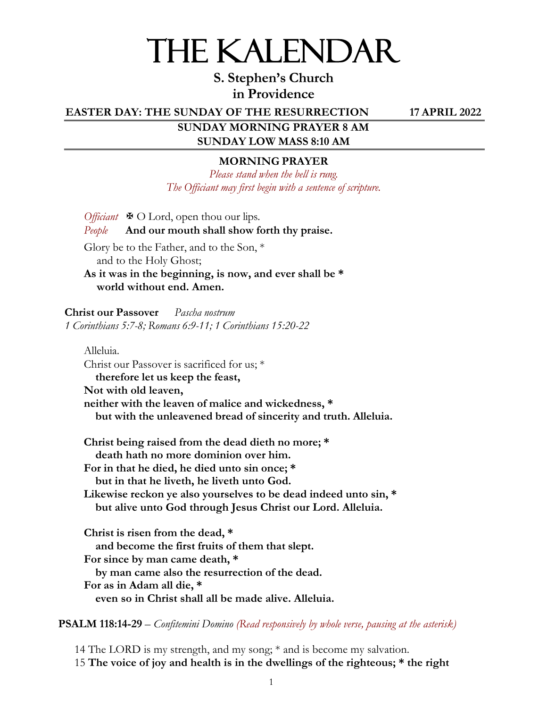# THE KALENDAR

**S. Stephen's Church in Providence**

**EASTER DAY: THE SUNDAY OF THE RESURRECTION 17 APRIL 2022**

**SUNDAY MORNING PRAYER 8 AM SUNDAY LOW MASS 8:10 AM**

#### **MORNING PRAYER**

*Please stand when the bell is rung. The Officiant may first begin with a sentence of scripture.*

*Officiant*  $\ \ \ \ \ \ \ \ \ \ \ O$  Lord, open thou our lips. *People* **And our mouth shall show forth thy praise.**

Glory be to the Father, and to the Son, \* and to the Holy Ghost; **As it was in the beginning, is now, and ever shall be \* world without end. Amen.**

**Christ our Passover** *Pascha nostrum 1 Corinthians 5:7-8; Romans 6:9-11; 1 Corinthians 15:20-22*

Alleluia. Christ our Passover is sacrificed for us; \* **therefore let us keep the feast, Not with old leaven, neither with the leaven of malice and wickedness, \* but with the unleavened bread of sincerity and truth. Alleluia. Christ being raised from the dead dieth no more; \* death hath no more dominion over him. For in that he died, he died unto sin once; \* but in that he liveth, he liveth unto God. Likewise reckon ye also yourselves to be dead indeed unto sin, \* but alive unto God through Jesus Christ our Lord. Alleluia. Christ is risen from the dead, \* and become the first fruits of them that slept. For since by man came death, \* by man came also the resurrection of the dead. For as in Adam all die, \* even so in Christ shall all be made alive. Alleluia.** 

**PSALM 118:14-29** – *Confitemini Domino (Read responsively by whole verse, pausing at the asterisk)*

14 The LORD is my strength, and my song; \* and is become my salvation. 15 **The voice of joy and health is in the dwellings of the righteous; \* the right**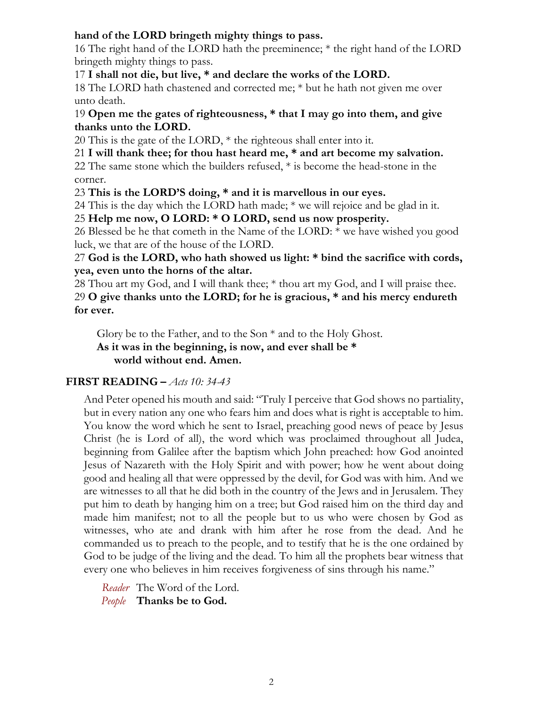# **hand of the LORD bringeth mighty things to pass.**

16 The right hand of the LORD hath the preeminence; \* the right hand of the LORD bringeth mighty things to pass.

17 **I shall not die, but live, \* and declare the works of the LORD.**

18 The LORD hath chastened and corrected me; \* but he hath not given me over unto death.

# 19 **Open me the gates of righteousness, \* that I may go into them, and give thanks unto the LORD.**

20 This is the gate of the LORD, \* the righteous shall enter into it.

21 **I will thank thee; for thou hast heard me, \* and art become my salvation.**

22 The same stone which the builders refused, \* is become the head-stone in the corner.

23 **This is the LORD'S doing, \* and it is marvellous in our eyes.**

24 This is the day which the LORD hath made; \* we will rejoice and be glad in it.

25 **Help me now, O LORD: \* O LORD, send us now prosperity.**

26 Blessed be he that cometh in the Name of the LORD: \* we have wished you good luck, we that are of the house of the LORD.

27 **God is the LORD, who hath showed us light: \* bind the sacrifice with cords, yea, even unto the horns of the altar.**

28 Thou art my God, and I will thank thee; \* thou art my God, and I will praise thee. 29 **O give thanks unto the LORD; for he is gracious, \* and his mercy endureth for ever.**

Glory be to the Father, and to the Son \* and to the Holy Ghost. **As it was in the beginning, is now, and ever shall be \* world without end. Amen.**

# **FIRST READING –** *Acts 10: 34-43*

And Peter opened his mouth and said: "Truly I perceive that God shows no partiality, but in every nation any one who fears him and does what is right is acceptable to him. You know the word which he sent to Israel, preaching good news of peace by Jesus Christ (he is Lord of all), the word which was proclaimed throughout all Judea, beginning from Galilee after the baptism which John preached: how God anointed Jesus of Nazareth with the Holy Spirit and with power; how he went about doing good and healing all that were oppressed by the devil, for God was with him. And we are witnesses to all that he did both in the country of the Jews and in Jerusalem. They put him to death by hanging him on a tree; but God raised him on the third day and made him manifest; not to all the people but to us who were chosen by God as witnesses, who ate and drank with him after he rose from the dead. And he commanded us to preach to the people, and to testify that he is the one ordained by God to be judge of the living and the dead. To him all the prophets bear witness that every one who believes in him receives forgiveness of sins through his name."

*Reader* The Word of the Lord. *People* **Thanks be to God.**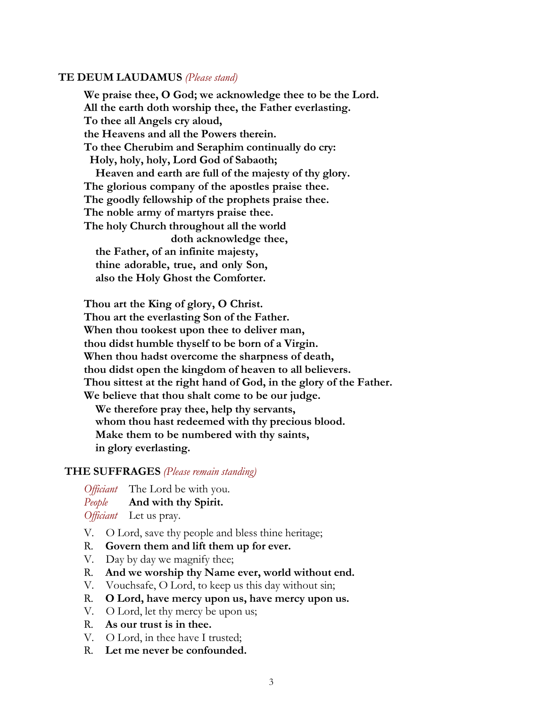#### **TE DEUM LAUDAMUS** *(Please stand)*

**We praise thee, O God; we acknowledge thee to be the Lord. All the earth doth worship thee, the Father everlasting. To thee all Angels cry aloud, the Heavens and all the Powers therein. To thee Cherubim and Seraphim continually do cry: Holy, holy, holy, Lord God of Sabaoth; Heaven and earth are full of the majesty of thy glory. The glorious company of the apostles praise thee. The goodly fellowship of the prophets praise thee. The noble army of martyrs praise thee. The holy Church throughout all the world doth acknowledge thee, the Father, of an infinite majesty, thine adorable, true, and only Son, also the Holy Ghost the Comforter.**

**Thou art the King of glory, O Christ. Thou art the everlasting Son of the Father. When thou tookest upon thee to deliver man, thou didst humble thyself to be born of a Virgin. When thou hadst overcome the sharpness of death, thou didst open the kingdom of heaven to all believers. Thou sittest at the right hand of God, in the glory of the Father. We believe that thou shalt come to be our judge. We therefore pray thee, help thy servants, whom thou hast redeemed with thy precious blood. Make them to be numbered with thy saints, in glory everlasting.**

#### **THE SUFFRAGES** *(Please remain standing)*

*Officiant* The Lord be with you. *People* **And with thy Spirit.** *Officiant* Let us pray.

- V. O Lord, save thy people and bless thine heritage;
- R. **Govern them and lift them up for ever.**
- V. Day by day we magnify thee;
- R. **And we worship thy Name ever, world without end.**
- V. Vouchsafe, O Lord, to keep us this day without sin;
- R. **O Lord, have mercy upon us, have mercy upon us.**
- V. O Lord, let thy mercy be upon us;
- R. **As our trust is in thee.**
- V. O Lord, in thee have I trusted;
- R. **Let me never be confounded.**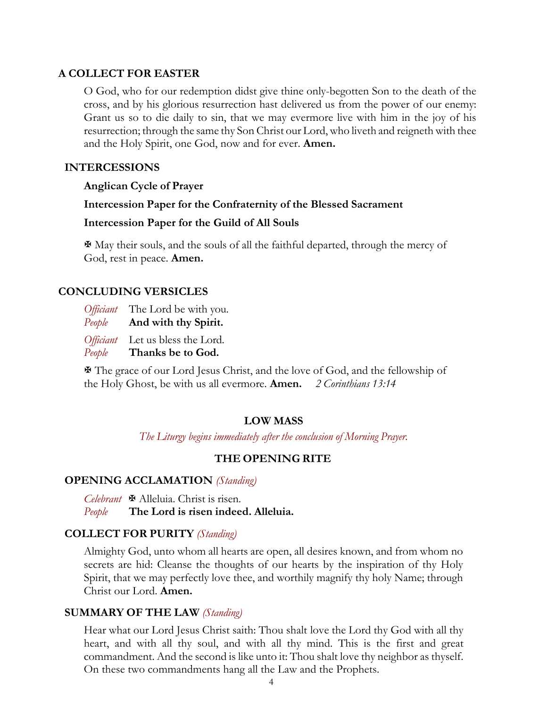# **A COLLECT FOR EASTER**

O God, who for our redemption didst give thine only-begotten Son to the death of the cross, and by his glorious resurrection hast delivered us from the power of our enemy: Grant us so to die daily to sin, that we may evermore live with him in the joy of his resurrection; through the same thy Son Christ our Lord, who liveth and reigneth with thee and the Holy Spirit, one God, now and for ever. **Amen.**

# **INTERCESSIONS**

#### **Anglican Cycle of Prayer**

**Intercession Paper for the Confraternity of the Blessed Sacrament** 

#### **Intercession Paper for the Guild of All Souls**

X May their souls, and the souls of all the faithful departed, through the mercy of God, rest in peace. **Amen.**

### **CONCLUDING VERSICLES**

| <i>Officiant</i> | The Lord be with you.  |
|------------------|------------------------|
| People           | And with thy Spirit.   |
| <i>Officiant</i> | Let us bless the Lord. |
| People           | Thanks be to God.      |

X The grace of our Lord Jesus Christ, and the love of God, and the fellowship of the Holy Ghost, be with us all evermore. **Amen.** *2 Corinthians 13:14*

# **LOW MASS**

*The Liturgy begins immediately after the conclusion of Morning Prayer.*

#### **THE OPENING RITE**

#### **OPENING ACCLAMATION** *(Standing)*

*Celebrant* X Alleluia. Christ is risen. *People* **The Lord is risen indeed. Alleluia.**

#### **COLLECT FOR PURITY** *(Standing)*

Almighty God, unto whom all hearts are open, all desires known, and from whom no secrets are hid: Cleanse the thoughts of our hearts by the inspiration of thy Holy Spirit, that we may perfectly love thee, and worthily magnify thy holy Name; through Christ our Lord. **Amen.**

#### **SUMMARY OF THE LAW** *(Standing)*

Hear what our Lord Jesus Christ saith: Thou shalt love the Lord thy God with all thy heart, and with all thy soul, and with all thy mind. This is the first and great commandment. And the second is like unto it: Thou shalt love thy neighbor as thyself. On these two commandments hang all the Law and the Prophets.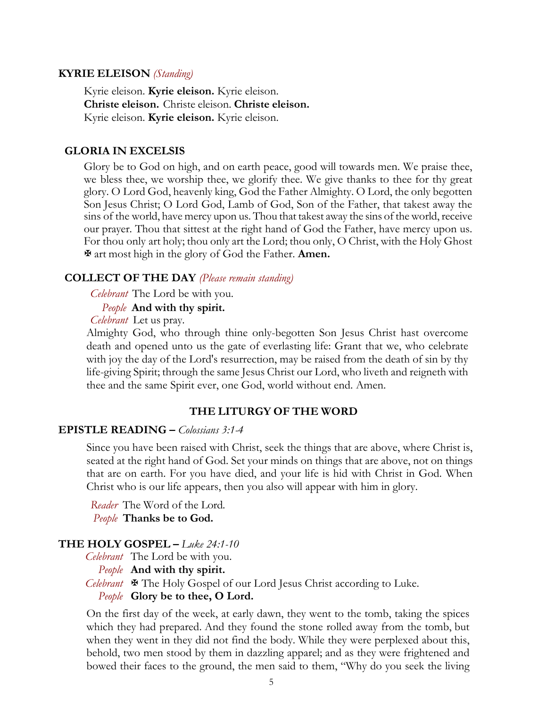#### **KYRIE ELEISON** *(Standing)*

Kyrie eleison. **Kyrie eleison.** Kyrie eleison. **Christe eleison.** Christe eleison. **Christe eleison.**  Kyrie eleison. **Kyrie eleison.** Kyrie eleison.

#### **GLORIA IN EXCELSIS**

Glory be to God on high, and on earth peace, good will towards men. We praise thee, we bless thee, we worship thee, we glorify thee. We give thanks to thee for thy great glory. O Lord God, heavenly king, God the Father Almighty. O Lord, the only begotten Son Jesus Christ; O Lord God, Lamb of God, Son of the Father, that takest away the sins of the world, have mercy upon us. Thou that takest away the sins of the world, receive our prayer. Thou that sittest at the right hand of God the Father, have mercy upon us. For thou only art holy; thou only art the Lord; thou only, O Christ, with the Holy Ghost X art most high in the glory of God the Father. **Amen.**

#### **COLLECT OF THE DAY** *(Please remain standing)*

*Celebrant* The Lord be with you.

*People* **And with thy spirit.**

*Celebrant* Let us pray.

Almighty God, who through thine only-begotten Son Jesus Christ hast overcome death and opened unto us the gate of everlasting life: Grant that we, who celebrate with joy the day of the Lord's resurrection, may be raised from the death of sin by thy life-giving Spirit; through the same Jesus Christ our Lord, who liveth and reigneth with thee and the same Spirit ever, one God, world without end. Amen.

#### **THE LITURGY OF THE WORD**

#### **EPISTLE READING –** *Colossians 3:1-4*

Since you have been raised with Christ, seek the things that are above, where Christ is, seated at the right hand of God. Set your minds on things that are above, not on things that are on earth. For you have died, and your life is hid with Christ in God. When Christ who is our life appears, then you also will appear with him in glory.

*Reader* The Word of the Lord. *People* **Thanks be to God.**

#### **THE HOLY GOSPEL –** *Luke 24:1-10*

*Celebrant* The Lord be with you. *People* **And with thy spirit.** *Celebrant*  $\mathbf{\Psi}$  The Holy Gospel of our Lord Jesus Christ according to Luke. *People* **Glory be to thee, O Lord.**

On the first day of the week, at early dawn, they went to the tomb, taking the spices which they had prepared. And they found the stone rolled away from the tomb, but when they went in they did not find the body. While they were perplexed about this, behold, two men stood by them in dazzling apparel; and as they were frightened and bowed their faces to the ground, the men said to them, "Why do you seek the living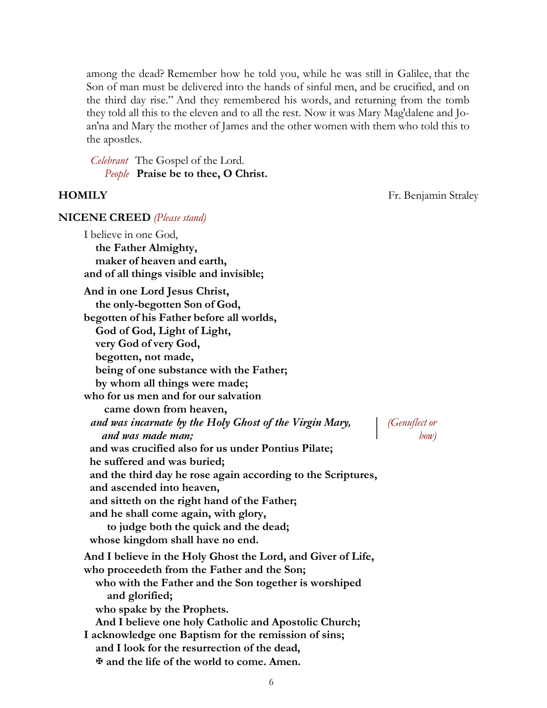among the dead? Remember how he told you, while he was still in Galilee, that the Son of man must be delivered into the hands of sinful men, and be crucified, and on the third day rise." And they remembered his words, and returning from the tomb they told all this to the eleven and to all the rest. Now it was Mary Mag′dalene and Joan′na and Mary the mother of James and the other women with them who told this to the apostles.

*Celebrant* The Gospel of the Lord. *People* **Praise be to thee, O Christ.**

**HOMILY** Fr. Benjamin Straley

#### **NICENE CREED** *(Please stand)*

I believe in one God, **the Father Almighty, maker of heaven and earth, and of all things visible and invisible; And in one Lord Jesus Christ, the only-begotten Son of God,**

**begotten of his Father before all worlds,** 

**God of God, Light of Light, very God of very God,** 

**begotten, not made,**

**being of one substance with the Father;** 

**by whom all things were made;**

**who for us men and for our salvation** 

**came down from heaven,**

**he suffered and was buried;**

**and ascended into heaven,**

*and was incarnate by the Holy Ghost of the Virgin Mary, (Genuflect or and was made man; bow)*

**and the third day he rose again according to the Scriptures,** 

**and was crucified also for us under Pontius Pilate;** 

**and sitteth on the right hand of the Father;** 

**and he shall come again, with glory,**

**to judge both the quick and the dead; whose kingdom shall have no end. And I believe in the Holy Ghost the Lord, and Giver of Life, who proceedeth from the Father and the Son; who with the Father and the Son together is worshiped and glorified; who spake by the Prophets. And I believe one holy Catholic and Apostolic Church;** 

**I acknowledge one Baptism for the remission of sins; and I look for the resurrection of the dead,** X **and the life of the world to come. Amen.**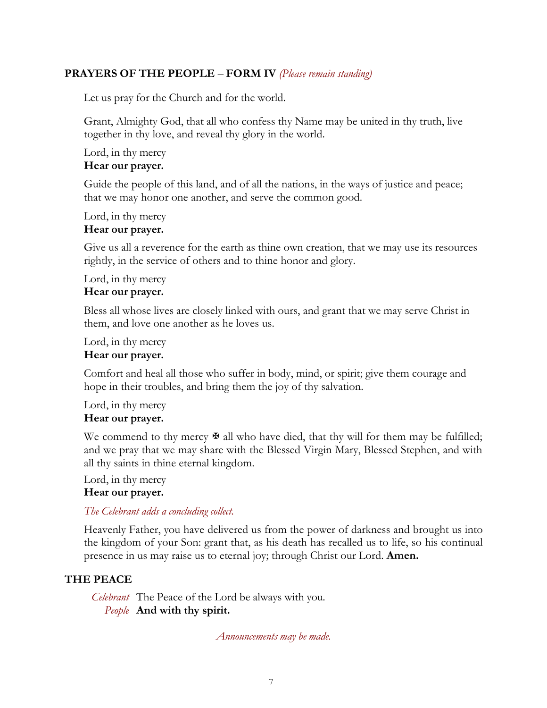# **PRAYERS OF THE PEOPLE** – **FORM IV** *(Please remain standing)*

Let us pray for the Church and for the world.

Grant, Almighty God, that all who confess thy Name may be united in thy truth, live together in thy love, and reveal thy glory in the world.

Lord, in thy mercy **Hear our prayer.**

Guide the people of this land, and of all the nations, in the ways of justice and peace; that we may honor one another, and serve the common good.

Lord, in thy mercy

### **Hear our prayer.**

Give us all a reverence for the earth as thine own creation, that we may use its resources rightly, in the service of others and to thine honor and glory.

Lord, in thy mercy **Hear our prayer.**

Bless all whose lives are closely linked with ours, and grant that we may serve Christ in them, and love one another as he loves us.

Lord, in thy mercy

# **Hear our prayer.**

Comfort and heal all those who suffer in body, mind, or spirit; give them courage and hope in their troubles, and bring them the joy of thy salvation.

Lord, in thy mercy **Hear our prayer.**

We commend to thy mercy  $\mathbb F$  all who have died, that thy will for them may be fulfilled; and we pray that we may share with the Blessed Virgin Mary, Blessed Stephen, and with all thy saints in thine eternal kingdom.

Lord, in thy mercy

#### **Hear our prayer.**

*The Celebrant adds a concluding collect.*

Heavenly Father, you have delivered us from the power of darkness and brought us into the kingdom of your Son: grant that, as his death has recalled us to life, so his continual presence in us may raise us to eternal joy; through Christ our Lord. **Amen.**

# **THE PEACE**

*Celebrant* The Peace of the Lord be always with you. *People* **And with thy spirit.**

*Announcements may be made.*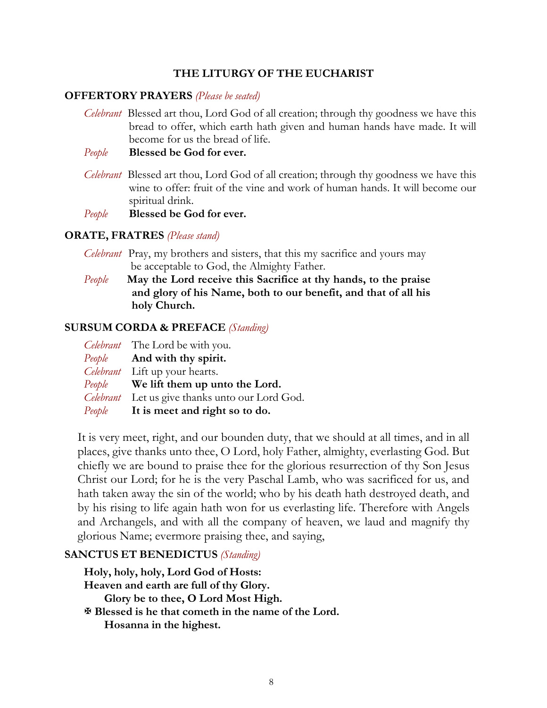# **THE LITURGY OF THE EUCHARIST**

# **OFFERTORY PRAYERS** *(Please be seated)*

*Celebrant* Blessed art thou, Lord God of all creation; through thy goodness we have this bread to offer, which earth hath given and human hands have made. It will become for us the bread of life.

# *People* **Blessed be God for ever.**

- *Celebrant* Blessed art thou, Lord God of all creation; through thy goodness we have this wine to offer: fruit of the vine and work of human hands. It will become our spiritual drink.
- *People* **Blessed be God for ever.**

# **ORATE, FRATRES** *(Please stand)*

- *Celebrant* Pray, my brothers and sisters, that this my sacrifice and yours may be acceptable to God, the Almighty Father.
- *People* **May the Lord receive this Sacrifice at thy hands, to the praise and glory of his Name, both to our benefit, and that of all his holy Church.**

#### **SURSUM CORDA & PREFACE** *(Standing)*

| Celebrant The Lord be with you.                 |
|-------------------------------------------------|
| <i>People</i> And with thy spirit.              |
| Celebrant Lift up your hearts.                  |
| <i>People</i> We lift them up unto the Lord.    |
| Celebrant Let us give thanks unto our Lord God. |
| <i>People</i> It is meet and right so to do.    |

It is very meet, right, and our bounden duty, that we should at all times, and in all places, give thanks unto thee, O Lord, holy Father, almighty, everlasting God. But chiefly we are bound to praise thee for the glorious resurrection of thy Son Jesus Christ our Lord; for he is the very Paschal Lamb, who was sacrificed for us, and hath taken away the sin of the world; who by his death hath destroyed death, and by his rising to life again hath won for us everlasting life. Therefore with Angels and Archangels, and with all the company of heaven, we laud and magnify thy glorious Name; evermore praising thee, and saying,

# **SANCTUS ET BENEDICTUS** *(Standing)*

**Holy, holy, holy, Lord God of Hosts: Heaven and earth are full of thy Glory. Glory be to thee, O Lord Most High.** X **Blessed is he that cometh in the name of the Lord. Hosanna in the highest.**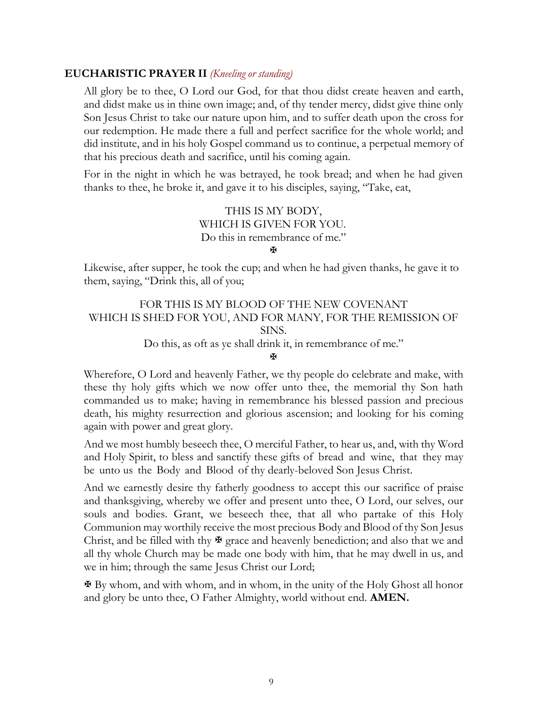# **EUCHARISTIC PRAYER II** *(Kneeling or standing)*

All glory be to thee, O Lord our God, for that thou didst create heaven and earth, and didst make us in thine own image; and, of thy tender mercy, didst give thine only Son Jesus Christ to take our nature upon him, and to suffer death upon the cross for our redemption. He made there a full and perfect sacrifice for the whole world; and did institute, and in his holy Gospel command us to continue, a perpetual memory of that his precious death and sacrifice, until his coming again.

For in the night in which he was betrayed, he took bread; and when he had given thanks to thee, he broke it, and gave it to his disciples, saying, "Take, eat,

> THIS IS MY BODY, WHICH IS GIVEN FOR YOU. Do this in remembrance of me."

 $\overline{M}$ 

Likewise, after supper, he took the cup; and when he had given thanks, he gave it to them, saying, "Drink this, all of you;

# FOR THIS IS MY BLOOD OF THE NEW COVENANT WHICH IS SHED FOR YOU, AND FOR MANY, FOR THE REMISSION OF SINS.

Do this, as oft as ye shall drink it, in remembrance of me."

X

Wherefore, O Lord and heavenly Father, we thy people do celebrate and make, with these thy holy gifts which we now offer unto thee, the memorial thy Son hath commanded us to make; having in remembrance his blessed passion and precious death, his mighty resurrection and glorious ascension; and looking for his coming again with power and great glory.

And we most humbly beseech thee, O merciful Father, to hear us, and, with thy Word and Holy Spirit, to bless and sanctify these gifts of bread and wine, that they may be unto us the Body and Blood of thy dearly-beloved Son Jesus Christ.

And we earnestly desire thy fatherly goodness to accept this our sacrifice of praise and thanksgiving, whereby we offer and present unto thee, O Lord, our selves, our souls and bodies. Grant, we beseech thee, that all who partake of this Holy Communion may worthily receive the most precious Body and Blood of thy Son Jesus Christ, and be filled with thy  $\mathbf{\Psi}$  grace and heavenly benediction; and also that we and all thy whole Church may be made one body with him, that he may dwell in us, and we in him; through the same Jesus Christ our Lord;

X By whom, and with whom, and in whom, in the unity of the Holy Ghost all honor and glory be unto thee, O Father Almighty, world without end. **AMEN.**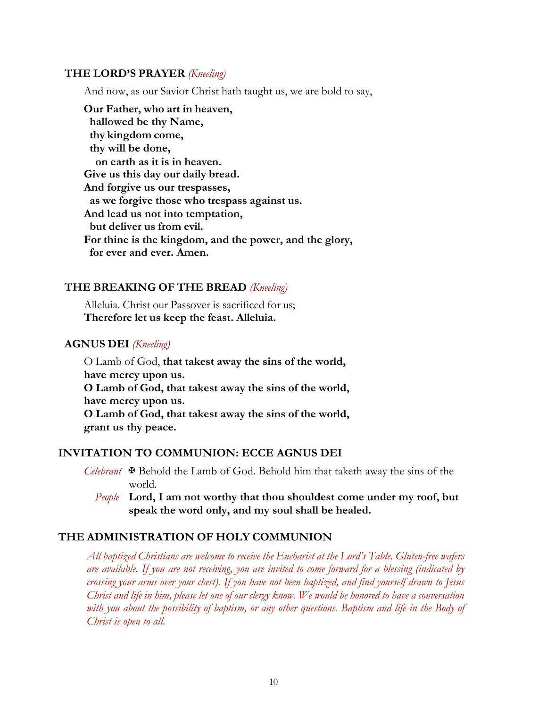#### **THE LORD'S PRAYER** *(Kneeling)*

And now, as our Savior Christ hath taught us, we are bold to say,

**Our Father, who art in heaven, hallowed be thy Name, thy kingdom come, thy will be done, on earth as it is in heaven. Give us this day our daily bread. And forgive us our trespasses, as we forgive those who trespass against us. And lead us not into temptation, but deliver us from evil. For thine is the kingdom, and the power, and the glory, for ever and ever. Amen.**

#### **THE BREAKING OF THE BREAD** *(Kneeling)*

Alleluia. Christ our Passover is sacrificed for us; **Therefore let us keep the feast. Alleluia.**

#### **AGNUS DEI** *(Kneeling)*

O Lamb of God, **that takest away the sins of the world, have mercy upon us. O Lamb of God, that takest away the sins of the world, have mercy upon us. O Lamb of God, that takest away the sins of the world, grant us thy peace.**

#### **INVITATION TO COMMUNION: ECCE AGNUS DEI**

- *Celebrant* X Behold the Lamb of God. Behold him that taketh away the sins of the world.
	- *People* **Lord, I am not worthy that thou shouldest come under my roof, but speak the word only, and my soul shall be healed.**

#### **THE ADMINISTRATION OF HOLY COMMUNION**

*All baptized Christians are welcome to receive the Eucharist at the Lord's Table. Gluten-free wafers are available. If you are not receiving, you are invited to come forward for a blessing (indicated by crossing your arms over your chest). If you have not been baptized, and find yourself drawn to Jesus Christ and life in him, please let one of our clergy know. We would be honored to have a conversation with you about the possibility of baptism, or any other questions. Baptism and life in the Body of Christ is open to all.*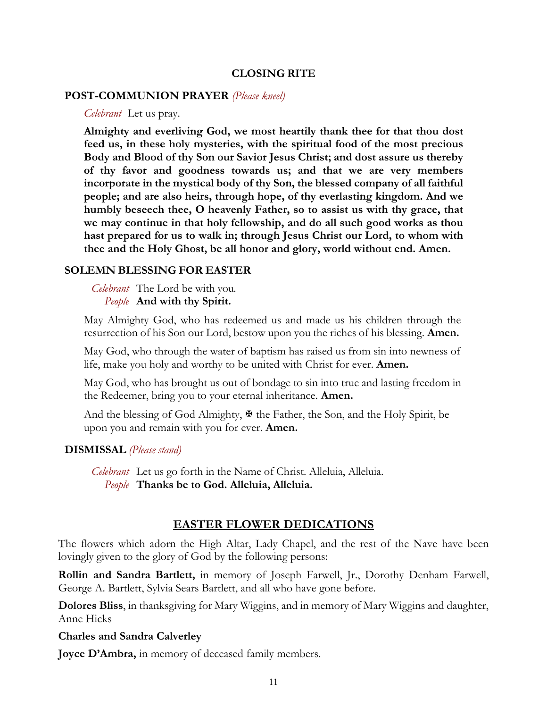#### **CLOSING RITE**

#### **POST-COMMUNION PRAYER** *(Please kneel)*

*Celebrant* Let us pray.

**Almighty and everliving God, we most heartily thank thee for that thou dost feed us, in these holy mysteries, with the spiritual food of the most precious Body and Blood of thy Son our Savior Jesus Christ; and dost assure us thereby of thy favor and goodness towards us; and that we are very members incorporate in the mystical body of thy Son, the blessed company of all faithful people; and are also heirs, through hope, of thy everlasting kingdom. And we humbly beseech thee, O heavenly Father, so to assist us with thy grace, that we may continue in that holy fellowship, and do all such good works as thou hast prepared for us to walk in; through Jesus Christ our Lord, to whom with thee and the Holy Ghost, be all honor and glory, world without end. Amen.**

#### **SOLEMN BLESSING FOR EASTER**

*Celebrant* The Lord be with you. *People* **And with thy Spirit.**

May Almighty God, who has redeemed us and made us his children through the resurrection of his Son our Lord, bestow upon you the riches of his blessing. **Amen.**

May God, who through the water of baptism has raised us from sin into newness of life, make you holy and worthy to be united with Christ for ever. **Amen.**

May God, who has brought us out of bondage to sin into true and lasting freedom in the Redeemer, bring you to your eternal inheritance. **Amen.**

And the blessing of God Almighty,  $\mathbf{\Psi}$  the Father, the Son, and the Holy Spirit, be upon you and remain with you for ever. **Amen.**

#### **DISMISSAL** *(Please stand)*

*Celebrant* Let us go forth in the Name of Christ. Alleluia, Alleluia. *People* **Thanks be to God. Alleluia, Alleluia.**

#### **EASTER FLOWER DEDICATIONS**

The flowers which adorn the High Altar, Lady Chapel, and the rest of the Nave have been lovingly given to the glory of God by the following persons:

**Rollin and Sandra Bartlett,** in memory of Joseph Farwell, Jr., Dorothy Denham Farwell, George A. Bartlett, Sylvia Sears Bartlett, and all who have gone before.

**Dolores Bliss**, in thanksgiving for Mary Wiggins, and in memory of Mary Wiggins and daughter, Anne Hicks

#### **Charles and Sandra Calverley**

**Joyce D'Ambra,** in memory of deceased family members.